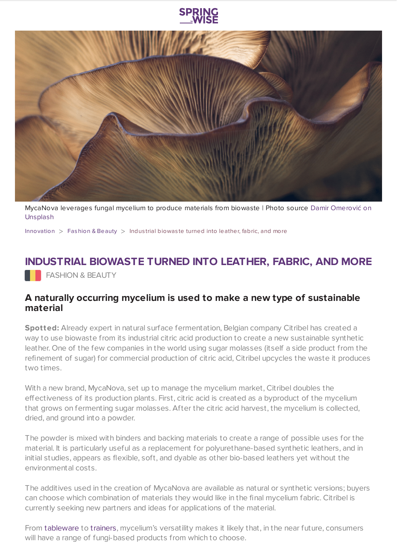



[MycaNova](https://unsplash.com/photos/UMaGtammiSI) leverages fungal mycelium to produce materials from biowaste | Photo source Damir Omerović on Unsplash

[Innovation](https://www.springwise.com/search?type=innovation)  $>$  [Fashion](https://www.springwise.com/search?type=innovation§or=design-fashion-and-beauty) & Beauty  $>$  Industrial biowaste turned into leather, fabric, and more

## **INDUSTRIAL BIOWASTE TURNED INTO LEATHER, FABRIC, AND MORE**

**FASHION & BEAUTY** 

## **A naturally occurring mycelium is used to make a new type of sustainable material**

**Spotted:** Already expert in natural surface fermentation, Belgian company Citribel has created a way to use biowaste from its industrial citric acid production to create a new sustainable synthetic leather. One of the few companies in the world using sugar molasses (itself a side product from the refinement of sugar) for commercial production of citric acid, Citribel upcycles the waste it produces two times.

With a new brand, MycaNova, set up to manage the mycelium market, Citribel doubles the effectiveness of its production plants. First, citric acid is created as a byproduct of the mycelium that grows on fermenting sugar molasses. After the citric acid harvest, the mycelium is collected, dried, and ground into a powder.

The powder is mixed with binders and backing materials to create a range of possible uses for the material. It is particularly useful as a replacement for polyurethane-based synthetic leathers, and in initial studies, appears as flexible, soft, and dyable as other bio-based leathers yet without the environmental costs.

The additives used in the creation of MycaNova are available as natural or synthetic versions; buyers can choose which combination of materials they would like in the final mycelium fabric. Citribel is currently seeking new partners and ideas for applications of the material.

From [tableware](https://www.springwise.com/innovation/architecture-design/vienna-design-week-barbara-gollackner-tableware-food-waste) to [trainers,](https://www.springwise.com/sustainability-innovation/fashion-beauty/emilie-burfeind-sneature-trainer-dog-hair) mycelium's versatility makes it likely that, in the near future, consumers will have a range of fungi-based products from which to choose.